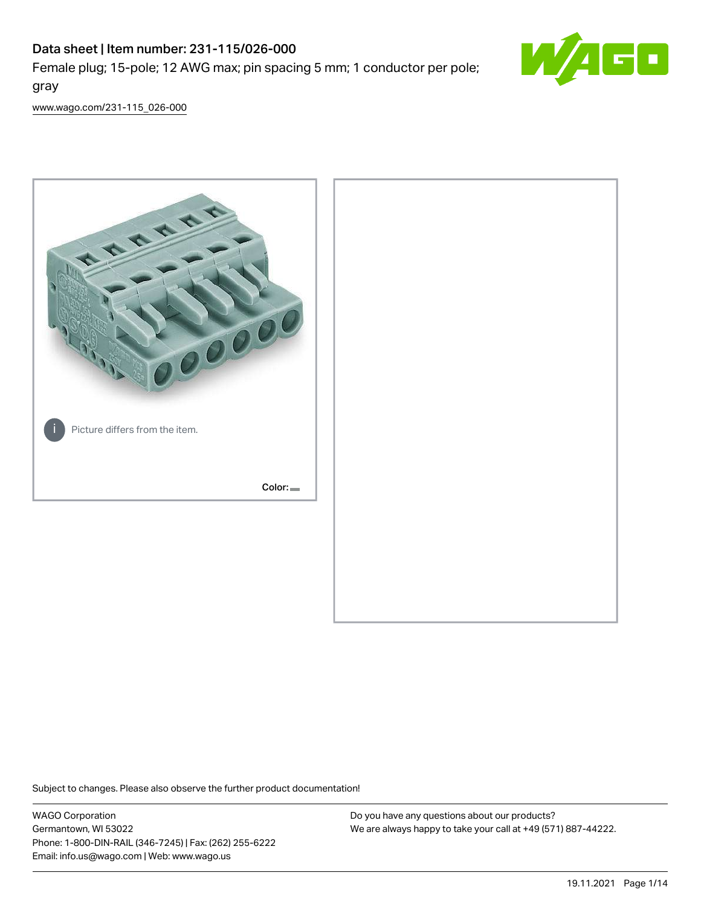# Data sheet | Item number: 231-115/026-000

Female plug; 15-pole; 12 AWG max; pin spacing 5 mm; 1 conductor per pole; gray



[www.wago.com/231-115\\_026-000](http://www.wago.com/231-115_026-000)



Subject to changes. Please also observe the further product documentation!

WAGO Corporation Germantown, WI 53022 Phone: 1-800-DIN-RAIL (346-7245) | Fax: (262) 255-6222 Email: info.us@wago.com | Web: www.wago.us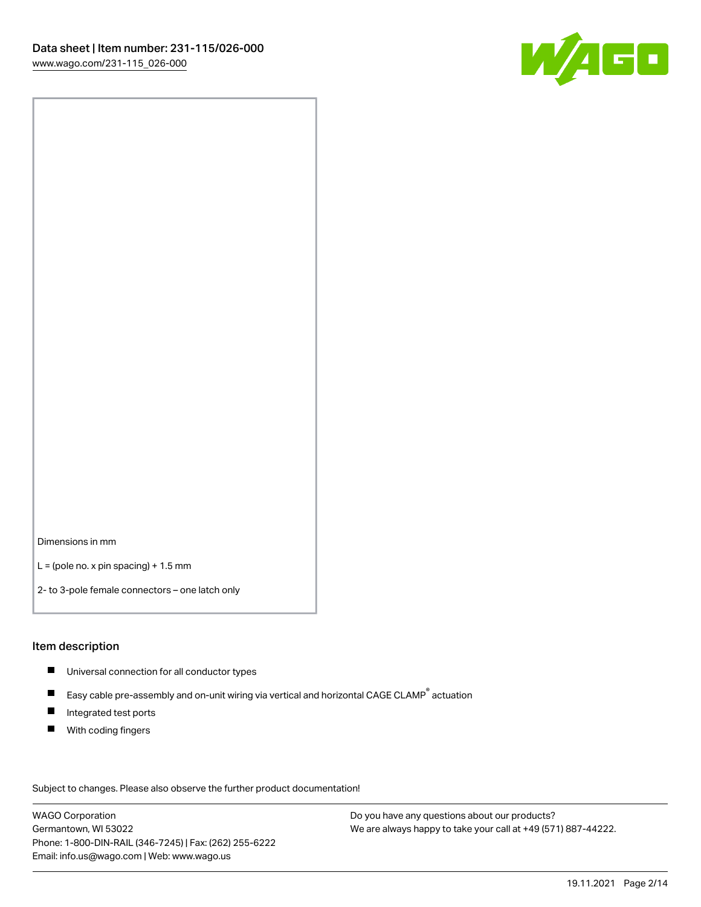

Dimensions in mm

 $L =$  (pole no. x pin spacing) + 1.5 mm

2- to 3-pole female connectors – one latch only

#### Item description

- **Universal connection for all conductor types**
- Easy cable pre-assembly and on-unit wiring via vertical and horizontal CAGE CLAMP<sup>®</sup> actuation  $\blacksquare$
- $\blacksquare$ Integrated test ports
- $\blacksquare$ With coding fingers

Subject to changes. Please also observe the further product documentation! Data

WAGO Corporation Germantown, WI 53022 Phone: 1-800-DIN-RAIL (346-7245) | Fax: (262) 255-6222 Email: info.us@wago.com | Web: www.wago.us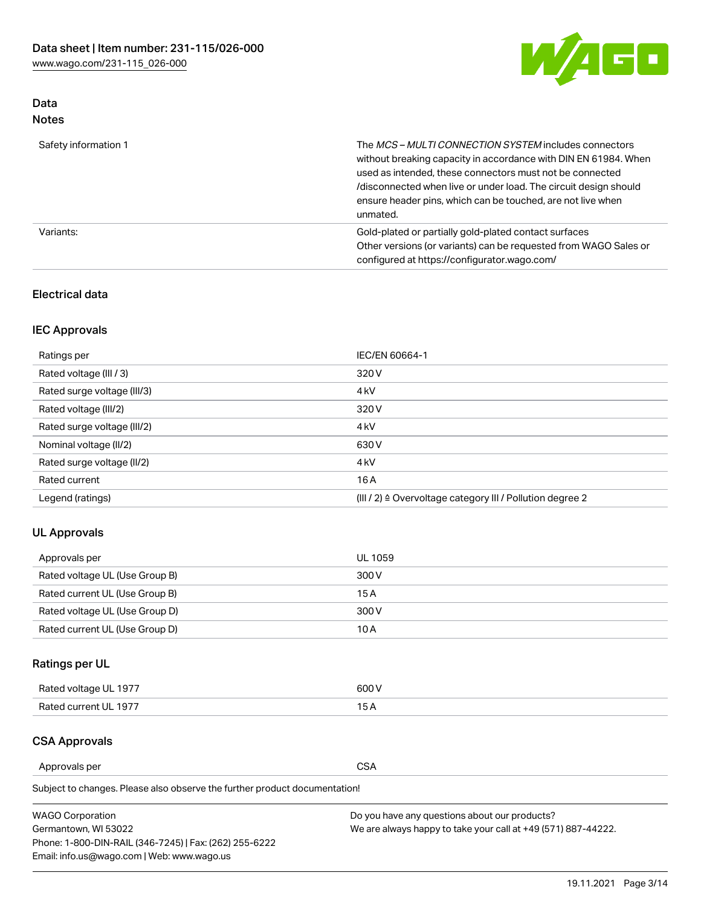

# Data Notes

| Safety information 1 | The MCS-MULTI CONNECTION SYSTEM includes connectors<br>without breaking capacity in accordance with DIN EN 61984. When<br>used as intended, these connectors must not be connected<br>/disconnected when live or under load. The circuit design should<br>ensure header pins, which can be touched, are not live when<br>unmated. |
|----------------------|-----------------------------------------------------------------------------------------------------------------------------------------------------------------------------------------------------------------------------------------------------------------------------------------------------------------------------------|
| Variants:            | Gold-plated or partially gold-plated contact surfaces<br>Other versions (or variants) can be requested from WAGO Sales or<br>configured at https://configurator.wago.com/                                                                                                                                                         |

# Electrical data

# IEC Approvals

| Ratings per                 | IEC/EN 60664-1                                                        |
|-----------------------------|-----------------------------------------------------------------------|
| Rated voltage (III / 3)     | 320 V                                                                 |
| Rated surge voltage (III/3) | 4 <sub>k</sub> V                                                      |
| Rated voltage (III/2)       | 320 V                                                                 |
| Rated surge voltage (III/2) | 4 <sub>k</sub> V                                                      |
| Nominal voltage (II/2)      | 630 V                                                                 |
| Rated surge voltage (II/2)  | 4 <sub>k</sub> V                                                      |
| Rated current               | 16A                                                                   |
| Legend (ratings)            | $(III / 2)$ $\triangle$ Overvoltage category III / Pollution degree 2 |

# UL Approvals

| Approvals per                  | UL 1059 |
|--------------------------------|---------|
| Rated voltage UL (Use Group B) | 300 V   |
| Rated current UL (Use Group B) | 15 A    |
| Rated voltage UL (Use Group D) | 300 V   |
| Rated current UL (Use Group D) | 10 A    |

# Ratings per UL

| Rated voltage UL 1977 | 600 V         |
|-----------------------|---------------|
| Rated current UL 1977 | $\sim$ $\sim$ |

# CSA Approvals

Approvals per CSA

| <b>WAGO Corporation</b>                                | Do you have any questions about our products?                 |
|--------------------------------------------------------|---------------------------------------------------------------|
| Germantown, WI 53022                                   | We are always happy to take your call at +49 (571) 887-44222. |
| Phone: 1-800-DIN-RAIL (346-7245)   Fax: (262) 255-6222 |                                                               |
| Email: info.us@wago.com   Web: www.wago.us             |                                                               |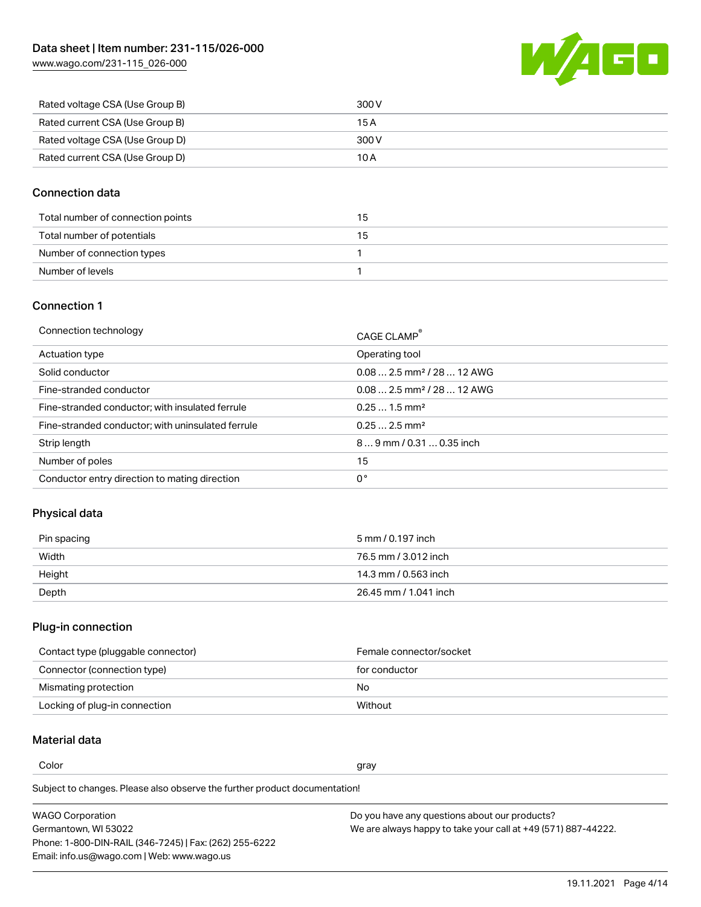W/4GD

| Rated voltage CSA (Use Group B) | 300 V |
|---------------------------------|-------|
| Rated current CSA (Use Group B) | 15 A  |
| Rated voltage CSA (Use Group D) | 300 V |
| Rated current CSA (Use Group D) | 10 A  |

## Connection data

| Total number of connection points | 15 |
|-----------------------------------|----|
| Total number of potentials        | 15 |
| Number of connection types        |    |
| Number of levels                  |    |

### Connection 1

| CAGE CLAMP®                             |
|-----------------------------------------|
| Operating tool                          |
| $0.08$ 2.5 mm <sup>2</sup> / 28  12 AWG |
| $0.082.5$ mm <sup>2</sup> / 28  12 AWG  |
| $0.251.5$ mm <sup>2</sup>               |
| $0.252.5$ mm <sup>2</sup>               |
| 89 mm / 0.31  0.35 inch                 |
| 15                                      |
| 0°                                      |
|                                         |

# Physical data

| Pin spacing | 5 mm / 0.197 inch     |
|-------------|-----------------------|
| Width       | 76.5 mm / 3.012 inch  |
| Height      | 14.3 mm / 0.563 inch  |
| Depth       | 26.45 mm / 1.041 inch |

### Plug-in connection

| Contact type (pluggable connector) | Female connector/socket |
|------------------------------------|-------------------------|
| Connector (connection type)        | for conductor           |
| Mismating protection               | No                      |
| Locking of plug-in connection      | Without                 |

# Material data

Color and the color of the color of the color of the color of the color of the color of the color of the color

| <b>WAGO Corporation</b>                                | Do you have any questions about our products?                 |
|--------------------------------------------------------|---------------------------------------------------------------|
| Germantown, WI 53022                                   | We are always happy to take your call at +49 (571) 887-44222. |
| Phone: 1-800-DIN-RAIL (346-7245)   Fax: (262) 255-6222 |                                                               |
| Email: info.us@wago.com   Web: www.wago.us             |                                                               |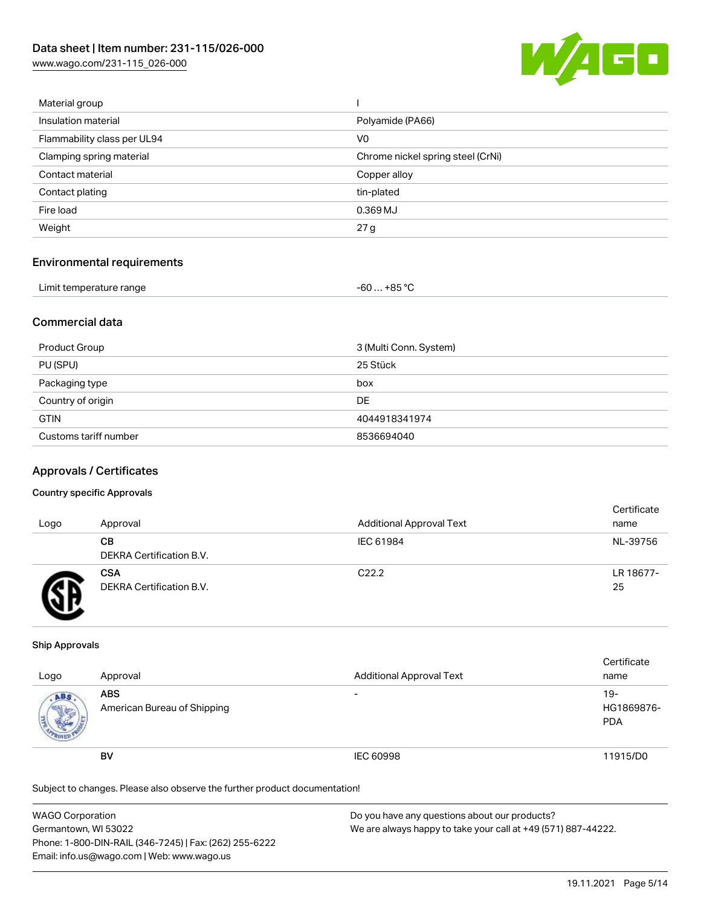[www.wago.com/231-115\\_026-000](http://www.wago.com/231-115_026-000)



| Material group              |                                   |
|-----------------------------|-----------------------------------|
| Insulation material         | Polyamide (PA66)                  |
| Flammability class per UL94 | V <sub>0</sub>                    |
| Clamping spring material    | Chrome nickel spring steel (CrNi) |
| Contact material            | Copper alloy                      |
| Contact plating             | tin-plated                        |
| Fire load                   | 0.369 MJ                          |
| Weight                      | 27 g                              |
|                             |                                   |

### Environmental requirements

| Limit temperature range | -60 … +85 °Ր |
|-------------------------|--------------|
|-------------------------|--------------|

## Commercial data

| Product Group         | 3 (Multi Conn. System) |
|-----------------------|------------------------|
| PU (SPU)              | 25 Stück               |
| Packaging type        | box                    |
| Country of origin     | DE                     |
| <b>GTIN</b>           | 4044918341974          |
| Customs tariff number | 8536694040             |

### Approvals / Certificates

#### Country specific Approvals

| Logo | Approval                               | <b>Additional Approval Text</b> | Certificate<br>name |
|------|----------------------------------------|---------------------------------|---------------------|
|      | CВ<br>DEKRA Certification B.V.         | IEC 61984                       | NL-39756            |
|      | <b>CSA</b><br>DEKRA Certification B.V. | C <sub>22.2</sub>               | LR 18677-<br>25     |

#### Ship Approvals

| Logo                | Approval                                  | <b>Additional Approval Text</b> | Certificate<br>name             |
|---------------------|-------------------------------------------|---------------------------------|---------------------------------|
| ABS<br><b>SALES</b> | <b>ABS</b><br>American Bureau of Shipping | $\overline{\phantom{0}}$        | 19-<br>HG1869876-<br><b>PDA</b> |
|                     | <b>BV</b>                                 | <b>IEC 60998</b>                | 11915/D0                        |

| <b>WAGO Corporation</b>                                | Do you have any questions about our products?                 |
|--------------------------------------------------------|---------------------------------------------------------------|
| Germantown, WI 53022                                   | We are always happy to take your call at +49 (571) 887-44222. |
| Phone: 1-800-DIN-RAIL (346-7245)   Fax: (262) 255-6222 |                                                               |
| Email: info.us@wago.com   Web: www.wago.us             |                                                               |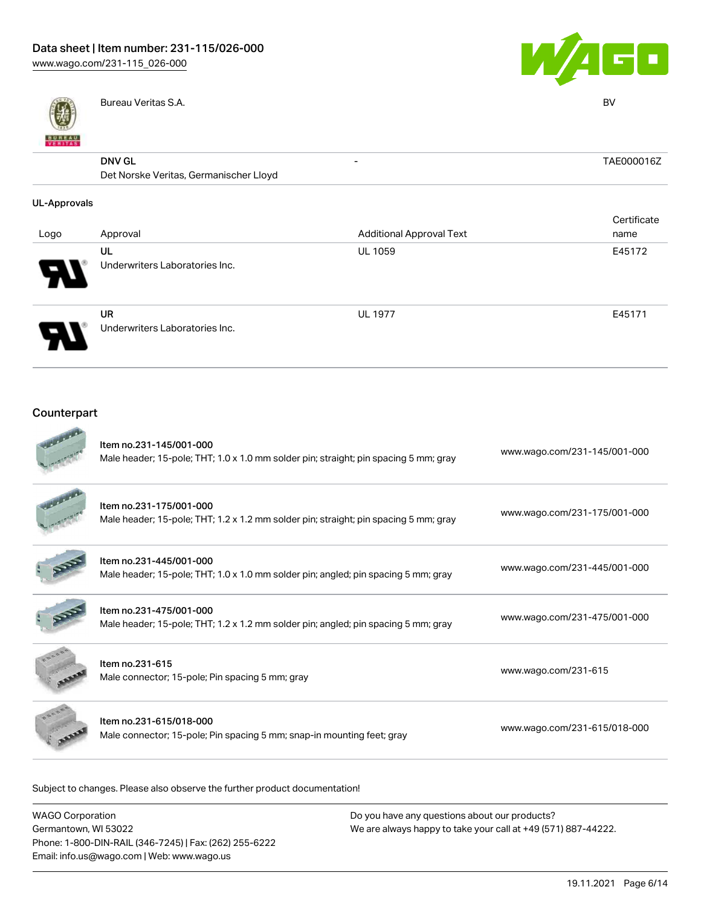

Bureau Veritas S.A. BV



| <b>BUREAU</b><br>VERITAS |                                                         |                                 |             |
|--------------------------|---------------------------------------------------------|---------------------------------|-------------|
|                          | <b>DNV GL</b><br>Det Norske Veritas, Germanischer Lloyd | -                               | TAE000016Z  |
| <b>UL-Approvals</b>      |                                                         |                                 |             |
|                          |                                                         |                                 | Certificate |
| Logo                     | Approval                                                | <b>Additional Approval Text</b> | name        |
|                          | UL                                                      | <b>UL 1059</b>                  | E45172      |
|                          | Underwriters Laboratories Inc.                          |                                 |             |
|                          | UR                                                      | <b>UL 1977</b>                  | E45171      |
|                          | Underwriters Laboratories Inc.                          |                                 |             |

# Counterpart

| Item no.231-145/001-000<br>Male header; 15-pole; THT; 1.0 x 1.0 mm solder pin; straight; pin spacing 5 mm; gray | www.wago.com/231-145/001-000 |
|-----------------------------------------------------------------------------------------------------------------|------------------------------|
| Item no.231-175/001-000<br>Male header; 15-pole; THT; 1.2 x 1.2 mm solder pin; straight; pin spacing 5 mm; gray | www.wago.com/231-175/001-000 |
| Item no.231-445/001-000<br>Male header; 15-pole; THT; 1.0 x 1.0 mm solder pin; angled; pin spacing 5 mm; gray   | www.wago.com/231-445/001-000 |
| Item no.231-475/001-000<br>Male header; 15-pole; THT; 1.2 x 1.2 mm solder pin; angled; pin spacing 5 mm; gray   | www.wago.com/231-475/001-000 |
| Item no.231-615<br>Male connector; 15-pole; Pin spacing 5 mm; gray                                              | www.wago.com/231-615         |
| Item no.231-615/018-000<br>Male connector; 15-pole; Pin spacing 5 mm; snap-in mounting feet; gray               | www.wago.com/231-615/018-000 |

| WAGO Corporation                                       | Do you have any questions about our products?                 |
|--------------------------------------------------------|---------------------------------------------------------------|
| Germantown, WI 53022                                   | We are always happy to take your call at +49 (571) 887-44222. |
| Phone: 1-800-DIN-RAIL (346-7245)   Fax: (262) 255-6222 |                                                               |
| Email: info.us@wago.com   Web: www.wago.us             |                                                               |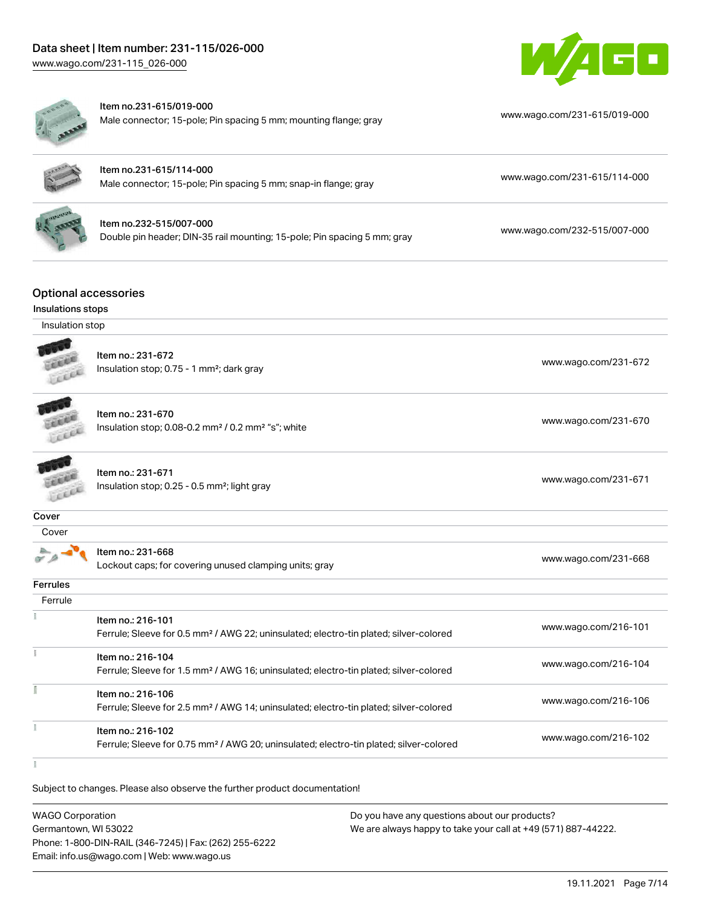



#### Item no.231-615/019-000

Male connector; 15-pole; Pin spacing 5 mm; mounting flange; gray [www.wago.com/231-615/019-000](https://www.wago.com/231-615/019-000)



| ltem no.231-615/114-000                                         |                              |
|-----------------------------------------------------------------|------------------------------|
| Male connector; 15-pole; Pin spacing 5 mm; snap-in flange; gray | www.wago.com/231-615/114-000 |

| Item no.232-515/007-000                                                  |  |
|--------------------------------------------------------------------------|--|
| Double pin header; DIN-35 rail mounting; 15-pole; Pin spacing 5 mm; gray |  |

[www.wago.com/232-515/007-000](https://www.wago.com/232-515/007-000)

# Optional accessories

### Insulations stops

#### Insulation stop



Item no.: 231-672 Insulation stop; 0.75 - 1 mm<sup>2</sup>; dark gray [www.wago.com/231-672](http://www.wago.com/231-672) www.wago.com/231-672

**CERAM** LEEEE

Item no.: 231-670 Insulation stop; 0.08-0.2 mm<sup>2</sup> / 0.2 mm<sup>2</sup> "s"; white [www.wago.com/231-670](http://www.wago.com/231-670) www.wago.com/231-670

**SERRA** Leee

Item no.: 231-671 Insulation stop; 0.25 - 0.5 mm²; light gray [www.wago.com/231-671](http://www.wago.com/231-671) www.wago.com/231-671

#### **Cover**

| ٠<br>۰,<br>×<br>۰.<br>٧ |
|-------------------------|
|                         |

| $0.9 - 1$ | ltem no.: 231-668                                      | www.wago.com/231-668 |
|-----------|--------------------------------------------------------|----------------------|
|           | Lockout caps; for covering unused clamping units; gray |                      |
| Ferrules  |                                                        |                      |

| <b>CILUICS</b> |                                                                                                                         |                      |
|----------------|-------------------------------------------------------------------------------------------------------------------------|----------------------|
| Ferrule        |                                                                                                                         |                      |
|                | Item no.: 216-101<br>Ferrule; Sleeve for 0.5 mm <sup>2</sup> / AWG 22; uninsulated; electro-tin plated; silver-colored  | www.wago.com/216-101 |
|                | Item no.: 216-104<br>Ferrule; Sleeve for 1.5 mm <sup>2</sup> / AWG 16; uninsulated; electro-tin plated; silver-colored  | www.wago.com/216-104 |
|                | Item no.: 216-106<br>Ferrule; Sleeve for 2.5 mm <sup>2</sup> / AWG 14; uninsulated; electro-tin plated; silver-colored  | www.wago.com/216-106 |
|                | Item no.: 216-102<br>Ferrule; Sleeve for 0.75 mm <sup>2</sup> / AWG 20; uninsulated; electro-tin plated; silver-colored | www.wago.com/216-102 |
|                |                                                                                                                         |                      |

 $\tilde{z}$ 

| <b>WAGO Corporation</b>                                | Do you have any questions about our products?                 |
|--------------------------------------------------------|---------------------------------------------------------------|
| Germantown, WI 53022                                   | We are always happy to take your call at +49 (571) 887-44222. |
| Phone: 1-800-DIN-RAIL (346-7245)   Fax: (262) 255-6222 |                                                               |
| Email: info.us@wago.com   Web: www.wago.us             |                                                               |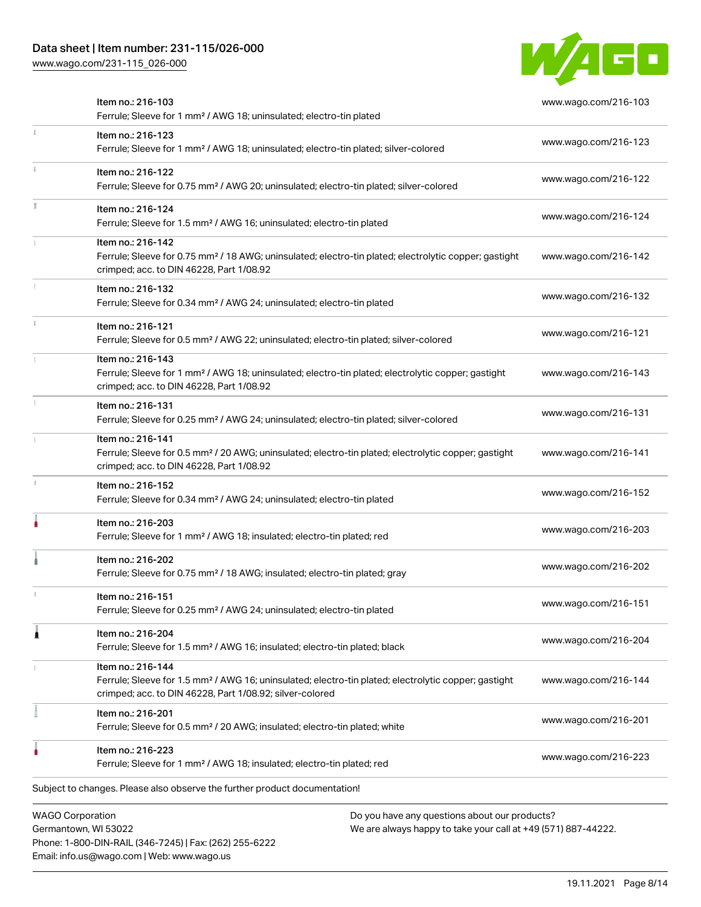# Data sheet | Item number: 231-115/026-000

Phone: 1-800-DIN-RAIL (346-7245) | Fax: (262) 255-6222

Email: info.us@wago.com | Web: www.wago.us

[www.wago.com/231-115\\_026-000](http://www.wago.com/231-115_026-000)



|   | <b>WAGO Corporation</b><br>Germantown, WI 53022                                                                                                                                                   | Do you have any questions about our products?<br>We are always happy to take your call at +49 (571) 887-44222. |                      |
|---|---------------------------------------------------------------------------------------------------------------------------------------------------------------------------------------------------|----------------------------------------------------------------------------------------------------------------|----------------------|
|   | Subject to changes. Please also observe the further product documentation!                                                                                                                        |                                                                                                                |                      |
|   | Item no.: 216-223<br>Ferrule; Sleeve for 1 mm <sup>2</sup> / AWG 18; insulated; electro-tin plated; red                                                                                           |                                                                                                                | www.wago.com/216-223 |
|   | Item no.: 216-201<br>Ferrule; Sleeve for 0.5 mm <sup>2</sup> / 20 AWG; insulated; electro-tin plated; white                                                                                       |                                                                                                                | www.wago.com/216-201 |
|   | Item no.: 216-144<br>Ferrule; Sleeve for 1.5 mm <sup>2</sup> / AWG 16; uninsulated; electro-tin plated; electrolytic copper; gastight<br>crimped; acc. to DIN 46228, Part 1/08.92; silver-colored |                                                                                                                | www.wago.com/216-144 |
|   | Item no.: 216-204<br>Ferrule; Sleeve for 1.5 mm <sup>2</sup> / AWG 16; insulated; electro-tin plated; black                                                                                       |                                                                                                                | www.wago.com/216-204 |
|   | Item no.: 216-151<br>Ferrule; Sleeve for 0.25 mm <sup>2</sup> / AWG 24; uninsulated; electro-tin plated                                                                                           |                                                                                                                | www.wago.com/216-151 |
|   | Item no.: 216-202<br>Ferrule; Sleeve for 0.75 mm <sup>2</sup> / 18 AWG; insulated; electro-tin plated; gray                                                                                       |                                                                                                                | www.wago.com/216-202 |
|   | Item no.: 216-203<br>Ferrule; Sleeve for 1 mm <sup>2</sup> / AWG 18; insulated; electro-tin plated; red                                                                                           |                                                                                                                | www.wago.com/216-203 |
|   | Item no.: 216-152<br>Ferrule; Sleeve for 0.34 mm <sup>2</sup> / AWG 24; uninsulated; electro-tin plated                                                                                           |                                                                                                                | www.wago.com/216-152 |
|   | Item no.: 216-141<br>Ferrule; Sleeve for 0.5 mm <sup>2</sup> / 20 AWG; uninsulated; electro-tin plated; electrolytic copper; gastight<br>crimped; acc. to DIN 46228, Part 1/08.92                 |                                                                                                                | www.wago.com/216-141 |
|   | Item no.: 216-131<br>Ferrule; Sleeve for 0.25 mm <sup>2</sup> / AWG 24; uninsulated; electro-tin plated; silver-colored                                                                           |                                                                                                                | www.wago.com/216-131 |
|   | Item no.: 216-143<br>Ferrule; Sleeve for 1 mm <sup>2</sup> / AWG 18; uninsulated; electro-tin plated; electrolytic copper; gastight<br>crimped; acc. to DIN 46228, Part 1/08.92                   |                                                                                                                | www.wago.com/216-143 |
|   | Item no.: 216-121<br>Ferrule; Sleeve for 0.5 mm <sup>2</sup> / AWG 22; uninsulated; electro-tin plated; silver-colored                                                                            |                                                                                                                | www.wago.com/216-121 |
|   | Item no.: 216-132<br>Ferrule; Sleeve for 0.34 mm <sup>2</sup> / AWG 24; uninsulated; electro-tin plated                                                                                           |                                                                                                                | www.wago.com/216-132 |
|   | Item no.: 216-142<br>Ferrule; Sleeve for 0.75 mm <sup>2</sup> / 18 AWG; uninsulated; electro-tin plated; electrolytic copper; gastight<br>crimped; acc. to DIN 46228, Part 1/08.92                |                                                                                                                | www.wago.com/216-142 |
| B | Item no.: 216-124<br>Ferrule; Sleeve for 1.5 mm <sup>2</sup> / AWG 16; uninsulated; electro-tin plated                                                                                            |                                                                                                                | www.wago.com/216-124 |
|   | Item no.: 216-122<br>Ferrule; Sleeve for 0.75 mm <sup>2</sup> / AWG 20; uninsulated; electro-tin plated; silver-colored                                                                           |                                                                                                                | www.wago.com/216-122 |
|   | Item no.: 216-123<br>Ferrule; Sleeve for 1 mm <sup>2</sup> / AWG 18; uninsulated; electro-tin plated; silver-colored                                                                              |                                                                                                                | www.wago.com/216-123 |
|   | Item no.: 216-103<br>Ferrule; Sleeve for 1 mm <sup>2</sup> / AWG 18; uninsulated; electro-tin plated                                                                                              |                                                                                                                | www.wago.com/216-103 |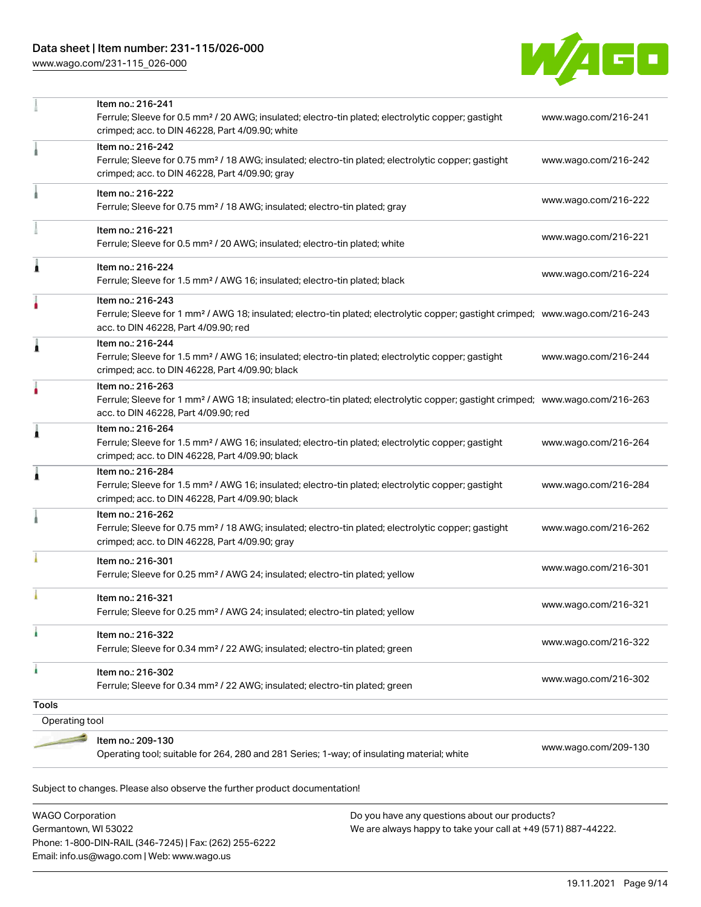[www.wago.com/231-115\\_026-000](http://www.wago.com/231-115_026-000)



|                | Item no.: 216-241<br>Ferrule; Sleeve for 0.5 mm <sup>2</sup> / 20 AWG; insulated; electro-tin plated; electrolytic copper; gastight<br>crimped; acc. to DIN 46228, Part 4/09.90; white                  | www.wago.com/216-241 |
|----------------|---------------------------------------------------------------------------------------------------------------------------------------------------------------------------------------------------------|----------------------|
|                | Item no.: 216-242<br>Ferrule; Sleeve for 0.75 mm <sup>2</sup> / 18 AWG; insulated; electro-tin plated; electrolytic copper; gastight<br>crimped; acc. to DIN 46228, Part 4/09.90; gray                  | www.wago.com/216-242 |
|                | Item no.: 216-222<br>Ferrule; Sleeve for 0.75 mm <sup>2</sup> / 18 AWG; insulated; electro-tin plated; gray                                                                                             | www.wago.com/216-222 |
|                | Item no.: 216-221<br>Ferrule; Sleeve for 0.5 mm <sup>2</sup> / 20 AWG; insulated; electro-tin plated; white                                                                                             | www.wago.com/216-221 |
| Ă              | Item no.: 216-224<br>Ferrule; Sleeve for 1.5 mm <sup>2</sup> / AWG 16; insulated; electro-tin plated; black                                                                                             | www.wago.com/216-224 |
|                | Item no.: 216-243<br>Ferrule; Sleeve for 1 mm <sup>2</sup> / AWG 18; insulated; electro-tin plated; electrolytic copper; gastight crimped; www.wago.com/216-243<br>acc. to DIN 46228, Part 4/09.90; red |                      |
| 1              | Item no.: 216-244<br>Ferrule; Sleeve for 1.5 mm <sup>2</sup> / AWG 16; insulated; electro-tin plated; electrolytic copper; gastight<br>crimped; acc. to DIN 46228, Part 4/09.90; black                  | www.wago.com/216-244 |
| ۸              | Item no.: 216-263<br>Ferrule; Sleeve for 1 mm <sup>2</sup> / AWG 18; insulated; electro-tin plated; electrolytic copper; gastight crimped; www.wago.com/216-263<br>acc. to DIN 46228, Part 4/09.90; red |                      |
| Ă              | Item no.: 216-264<br>Ferrule; Sleeve for 1.5 mm <sup>2</sup> / AWG 16; insulated; electro-tin plated; electrolytic copper; gastight<br>crimped; acc. to DIN 46228, Part 4/09.90; black                  | www.wago.com/216-264 |
| 1              | Item no.: 216-284<br>Ferrule; Sleeve for 1.5 mm <sup>2</sup> / AWG 16; insulated; electro-tin plated; electrolytic copper; gastight<br>crimped; acc. to DIN 46228, Part 4/09.90; black                  | www.wago.com/216-284 |
|                | Item no.: 216-262<br>Ferrule; Sleeve for 0.75 mm <sup>2</sup> / 18 AWG; insulated; electro-tin plated; electrolytic copper; gastight<br>crimped; acc. to DIN 46228, Part 4/09.90; gray                  | www.wago.com/216-262 |
|                | Item no.: 216-301<br>Ferrule; Sleeve for 0.25 mm <sup>2</sup> / AWG 24; insulated; electro-tin plated; yellow                                                                                           | www.wago.com/216-301 |
|                | Item no.: 216-321<br>Ferrule; Sleeve for 0.25 mm <sup>2</sup> / AWG 24; insulated; electro-tin plated; yellow                                                                                           | www.wago.com/216-321 |
|                | Item no.: 216-322<br>Ferrule; Sleeve for 0.34 mm <sup>2</sup> / 22 AWG; insulated; electro-tin plated; green                                                                                            | www.wago.com/216-322 |
| ٠              | Item no.: 216-302<br>Ferrule; Sleeve for 0.34 mm <sup>2</sup> / 22 AWG; insulated; electro-tin plated; green                                                                                            | www.wago.com/216-302 |
| <b>Tools</b>   |                                                                                                                                                                                                         |                      |
| Operating tool |                                                                                                                                                                                                         |                      |
|                | Item no.: 209-130<br>Operating tool; suitable for 264, 280 and 281 Series; 1-way; of insulating material; white                                                                                         | www.wago.com/209-130 |
|                | Subject to changes. Please also observe the further product documentation!                                                                                                                              |                      |

WAGO Corporation Germantown, WI 53022 Phone: 1-800-DIN-RAIL (346-7245) | Fax: (262) 255-6222 Email: info.us@wago.com | Web: www.wago.us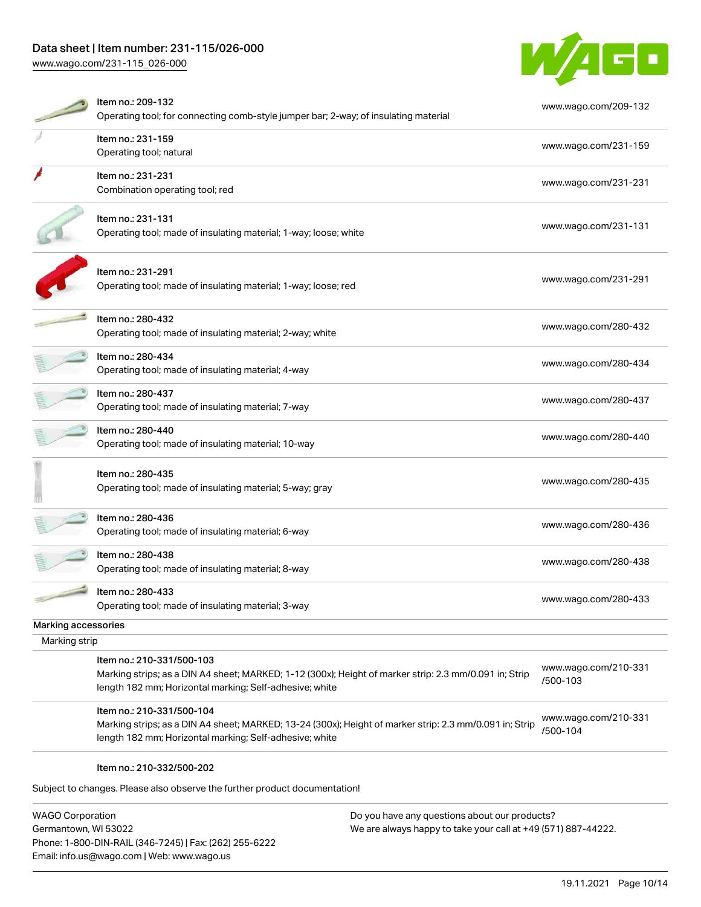# Data sheet | Item number: 231-115/026-000

[www.wago.com/231-115\\_026-000](http://www.wago.com/231-115_026-000)



|                     | Item no.: 209-132<br>Operating tool; for connecting comb-style jumper bar; 2-way; of insulating material                                                           | www.wago.com/209-132 |
|---------------------|--------------------------------------------------------------------------------------------------------------------------------------------------------------------|----------------------|
|                     | Item no.: 231-159                                                                                                                                                  |                      |
|                     | Operating tool; natural                                                                                                                                            | www.wago.com/231-159 |
|                     | Item no.: 231-231                                                                                                                                                  | www.wago.com/231-231 |
|                     | Combination operating tool; red                                                                                                                                    |                      |
|                     | Item no.: 231-131                                                                                                                                                  | www.wago.com/231-131 |
|                     | Operating tool; made of insulating material; 1-way; loose; white                                                                                                   |                      |
|                     | Item no.: 231-291                                                                                                                                                  |                      |
|                     | Operating tool; made of insulating material; 1-way; loose; red                                                                                                     | www.wago.com/231-291 |
|                     | Item no.: 280-432                                                                                                                                                  | www.wago.com/280-432 |
|                     | Operating tool; made of insulating material; 2-way; white                                                                                                          |                      |
|                     | Item no.: 280-434<br>Operating tool; made of insulating material; 4-way                                                                                            | www.wago.com/280-434 |
|                     |                                                                                                                                                                    |                      |
|                     | Item no.: 280-437<br>Operating tool; made of insulating material; 7-way                                                                                            | www.wago.com/280-437 |
|                     | Item no.: 280-440                                                                                                                                                  | www.wago.com/280-440 |
|                     | Operating tool; made of insulating material; 10-way                                                                                                                |                      |
|                     | Item no.: 280-435                                                                                                                                                  | www.wago.com/280-435 |
|                     | Operating tool; made of insulating material; 5-way; gray                                                                                                           |                      |
|                     | Item no.: 280-436                                                                                                                                                  | www.wago.com/280-436 |
|                     | Operating tool; made of insulating material; 6-way                                                                                                                 |                      |
|                     | Item no.: 280-438<br>Operating tool; made of insulating material; 8-way                                                                                            | www.wago.com/280-438 |
|                     |                                                                                                                                                                    |                      |
|                     | Item no.: 280-433<br>Operating tool; made of insulating material; 3-way                                                                                            | www.wago.com/280-433 |
| Marking accessories |                                                                                                                                                                    |                      |
| Marking strip       |                                                                                                                                                                    |                      |
|                     | Item no.: 210-331/500-103                                                                                                                                          | www.wago.com/210-331 |
|                     | Marking strips; as a DIN A4 sheet; MARKED; 1-12 (300x); Height of marker strip: 2.3 mm/0.091 in; Strip                                                             | /500-103             |
|                     | length 182 mm; Horizontal marking; Self-adhesive; white                                                                                                            |                      |
|                     | Item no.: 210-331/500-104                                                                                                                                          | www.wago.com/210-331 |
|                     | Marking strips; as a DIN A4 sheet; MARKED; 13-24 (300x); Height of marker strip: 2.3 mm/0.091 in; Strip<br>length 182 mm; Horizontal marking; Self-adhesive; white | /500-104             |
|                     | Item no.: 210-332/500-202                                                                                                                                          |                      |
|                     | Subject to changes. Please also observe the further product documentation!                                                                                         |                      |

WAGO Corporation Germantown, WI 53022 Phone: 1-800-DIN-RAIL (346-7245) | Fax: (262) 255-6222 Email: info.us@wago.com | Web: www.wago.us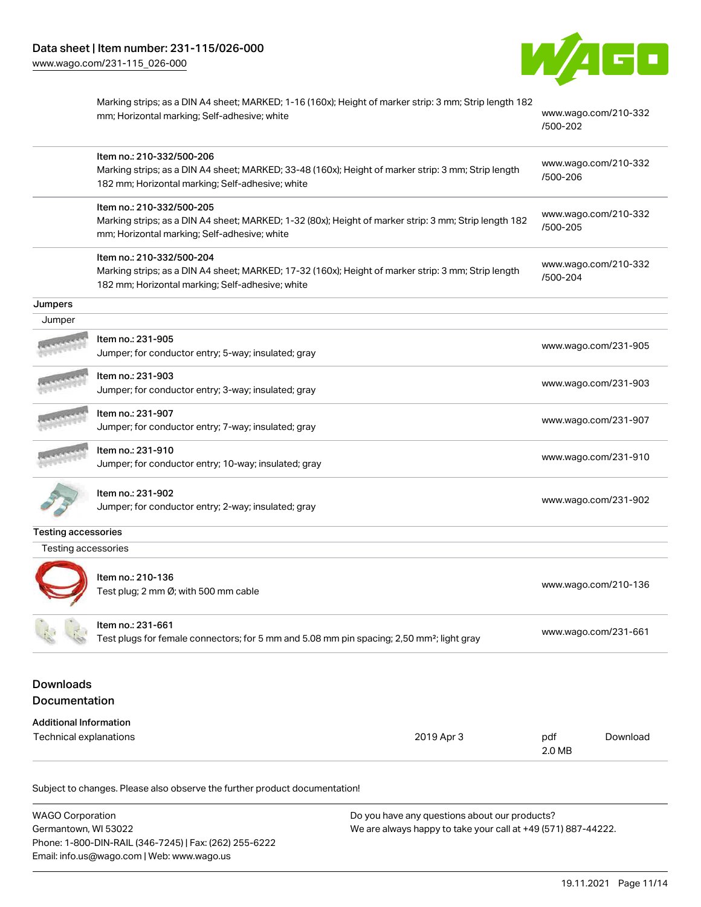

|                                                         | Marking strips; as a DIN A4 sheet; MARKED; 1-16 (160x); Height of marker strip: 3 mm; Strip length 182<br>mm; Horizontal marking; Self-adhesive; white                               | /500-202      | www.wago.com/210-332 |
|---------------------------------------------------------|--------------------------------------------------------------------------------------------------------------------------------------------------------------------------------------|---------------|----------------------|
|                                                         | Item no.: 210-332/500-206<br>Marking strips; as a DIN A4 sheet; MARKED; 33-48 (160x); Height of marker strip: 3 mm; Strip length<br>182 mm; Horizontal marking; Self-adhesive; white | /500-206      | www.wago.com/210-332 |
|                                                         | Item no.: 210-332/500-205<br>Marking strips; as a DIN A4 sheet; MARKED; 1-32 (80x); Height of marker strip: 3 mm; Strip length 182<br>mm; Horizontal marking; Self-adhesive; white   | /500-205      | www.wago.com/210-332 |
|                                                         | Item no.: 210-332/500-204<br>Marking strips; as a DIN A4 sheet; MARKED; 17-32 (160x); Height of marker strip: 3 mm; Strip length<br>182 mm; Horizontal marking; Self-adhesive; white | /500-204      | www.wago.com/210-332 |
| Jumpers                                                 |                                                                                                                                                                                      |               |                      |
| Jumper                                                  |                                                                                                                                                                                      |               |                      |
|                                                         | ltem no.: 231-905<br>Jumper; for conductor entry; 5-way; insulated; gray                                                                                                             |               | www.wago.com/231-905 |
|                                                         | Item no.: 231-903<br>Jumper; for conductor entry; 3-way; insulated; gray                                                                                                             |               | www.wago.com/231-903 |
|                                                         | Item no.: 231-907<br>Jumper; for conductor entry; 7-way; insulated; gray                                                                                                             |               | www.wago.com/231-907 |
|                                                         | Item no.: 231-910<br>Jumper; for conductor entry; 10-way; insulated; gray                                                                                                            |               | www.wago.com/231-910 |
|                                                         | Item no.: 231-902<br>Jumper; for conductor entry; 2-way; insulated; gray                                                                                                             |               | www.wago.com/231-902 |
| <b>Testing accessories</b>                              |                                                                                                                                                                                      |               |                      |
| Testing accessories                                     |                                                                                                                                                                                      |               |                      |
|                                                         | Item no.: 210-136<br>Test plug; 2 mm Ø; with 500 mm cable                                                                                                                            |               | www.wago.com/210-136 |
|                                                         | Item no.: 231-661<br>Test plugs for female connectors; for 5 mm and 5.08 mm pin spacing; 2,50 mm <sup>2</sup> ; light gray                                                           |               | www.wago.com/231-661 |
| <b>Downloads</b><br>Documentation                       |                                                                                                                                                                                      |               |                      |
| <b>Additional Information</b><br>Technical explanations | 2019 Apr 3                                                                                                                                                                           | pdf<br>2.0 MB | Download             |

| <b>WAGO Corporation</b>                                | Do you have any questions about our products?                 |
|--------------------------------------------------------|---------------------------------------------------------------|
| Germantown, WI 53022                                   | We are always happy to take your call at +49 (571) 887-44222. |
| Phone: 1-800-DIN-RAIL (346-7245)   Fax: (262) 255-6222 |                                                               |
| Email: info.us@wago.com   Web: www.wago.us             |                                                               |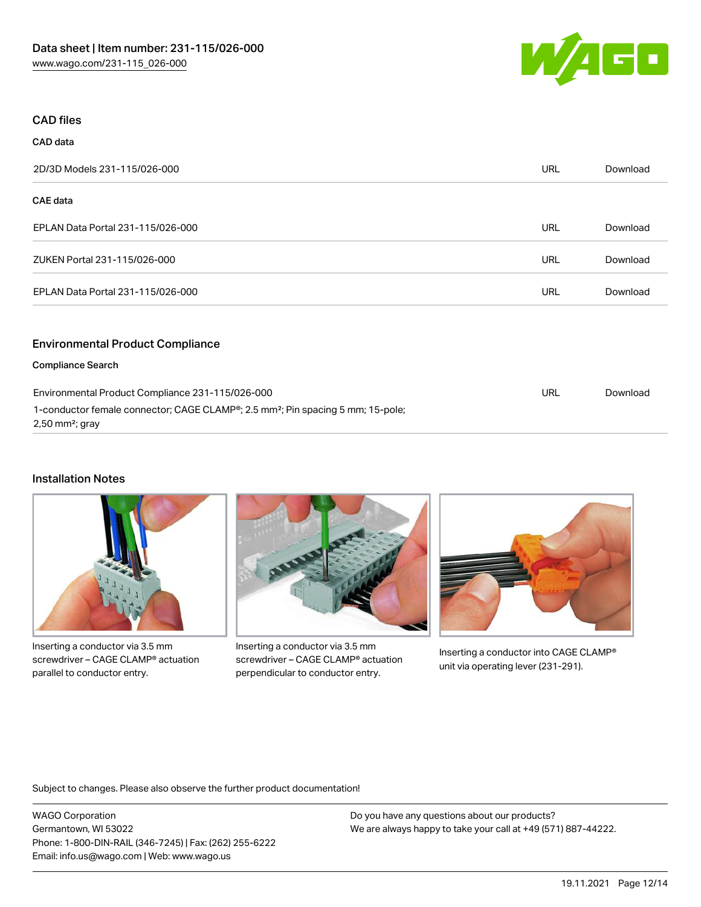

### CAD files

CAD data

| 2D/3D Models 231-115/026-000                                        | <b>URL</b> | Download |
|---------------------------------------------------------------------|------------|----------|
| CAE data                                                            |            |          |
| EPLAN Data Portal 231-115/026-000                                   | <b>URL</b> | Download |
| ZUKEN Portal 231-115/026-000                                        | <b>URL</b> | Download |
| EPLAN Data Portal 231-115/026-000                                   | <b>URL</b> | Download |
| <b>Environmental Product Compliance</b><br><b>Compliance Search</b> |            |          |

| Environmental Product Compliance 231-115/026-000                                                                                       | URL | Download |
|----------------------------------------------------------------------------------------------------------------------------------------|-----|----------|
| 1-conductor female connector; CAGE CLAMP <sup>®</sup> ; 2.5 mm <sup>2</sup> ; Pin spacing 5 mm; 15-pole;<br>$2,50 \text{ mm}^2$ ; gray |     |          |
|                                                                                                                                        |     |          |

#### Installation Notes

Inserting a conductor via 3.5 mm screwdriver – CAGE CLAMP® actuation parallel to conductor entry.



Inserting a conductor via 3.5 mm screwdriver – CAGE CLAMP® actuation perpendicular to conductor entry.



Inserting a conductor into CAGE CLAMP® unit via operating lever (231-291).

Subject to changes. Please also observe the further product documentation!

WAGO Corporation Germantown, WI 53022 Phone: 1-800-DIN-RAIL (346-7245) | Fax: (262) 255-6222 Email: info.us@wago.com | Web: www.wago.us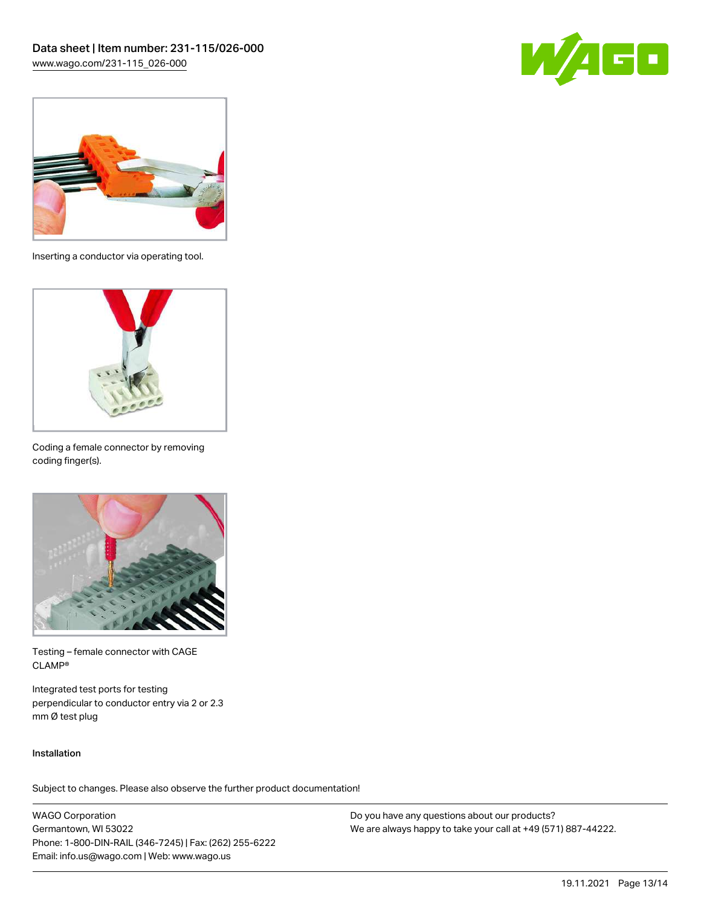



Inserting a conductor via operating tool.



Coding a female connector by removing coding finger(s).



Testing – female connector with CAGE CLAMP®

Integrated test ports for testing perpendicular to conductor entry via 2 or 2.3 mm Ø test plug

#### Installation

Subject to changes. Please also observe the further product documentation!

WAGO Corporation Germantown, WI 53022 Phone: 1-800-DIN-RAIL (346-7245) | Fax: (262) 255-6222 Email: info.us@wago.com | Web: www.wago.us